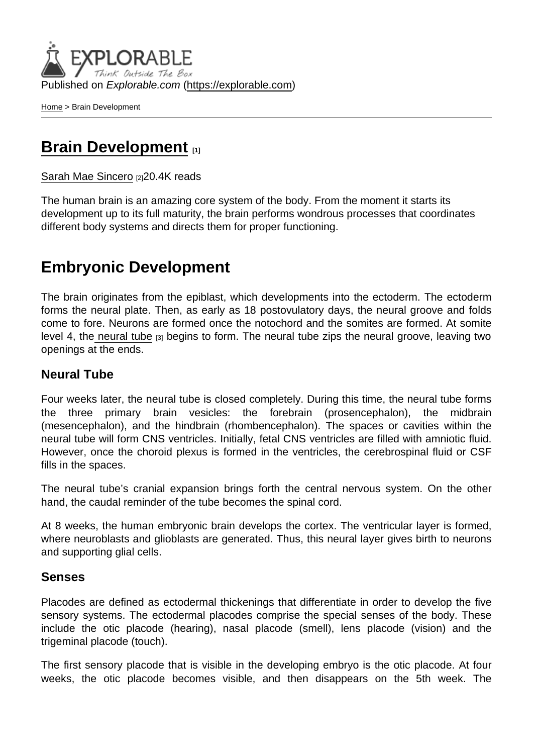Published on Explorable.com (<https://explorable.com>)

[Home](https://explorable.com/) > Brain Development

## [Brain Development](https://explorable.com/brain-development) [1]

[Sarah Mae Sincero](https://explorable.com/users/sarah) [2]20.4K reads

The human brain is an amazing core system of the body. From the moment it starts its development up to its full maturity, the brain performs wondrous processes that coordinates different body systems and directs them for proper functioning.

## Embryonic Development

The brain originates from the epiblast, which developments into the ectoderm. The ectoderm forms the neural plate. Then, as early as 18 postovulatory days, the neural groove and folds come to fore. Neurons are formed once the notochord and the somites are formed. At somite level 4, th[e neural tube](http://php.med.unsw.edu.au/embryology/index.php?title=Neural_System_Development) [3] begins to form. The neural tube zips the neural groove, leaving two openings at the ends.

### Neural Tube

Four weeks later, the neural tube is closed completely. During this time, the neural tube forms the three primary brain vesicles: the forebrain (prosencephalon), the midbrain (mesencephalon), and the hindbrain (rhombencephalon). The spaces or cavities within the neural tube will form CNS ventricles. Initially, fetal CNS ventricles are filled with amniotic fluid. However, once the choroid plexus is formed in the ventricles, the cerebrospinal fluid or CSF fills in the spaces.

The neural tube's cranial expansion brings forth the central nervous system. On the other hand, the caudal reminder of the tube becomes the spinal cord.

At 8 weeks, the human embryonic brain develops the cortex. The ventricular layer is formed, where neuroblasts and glioblasts are generated. Thus, this neural layer gives birth to neurons and supporting glial cells.

#### Senses

Placodes are defined as ectodermal thickenings that differentiate in order to develop the five sensory systems. The ectodermal placodes comprise the special senses of the body. These include the otic placode (hearing), nasal placode (smell), lens placode (vision) and the trigeminal placode (touch).

The first sensory placode that is visible in the developing embryo is the otic placode. At four weeks, the otic placode becomes visible, and then disappears on the 5th week. The